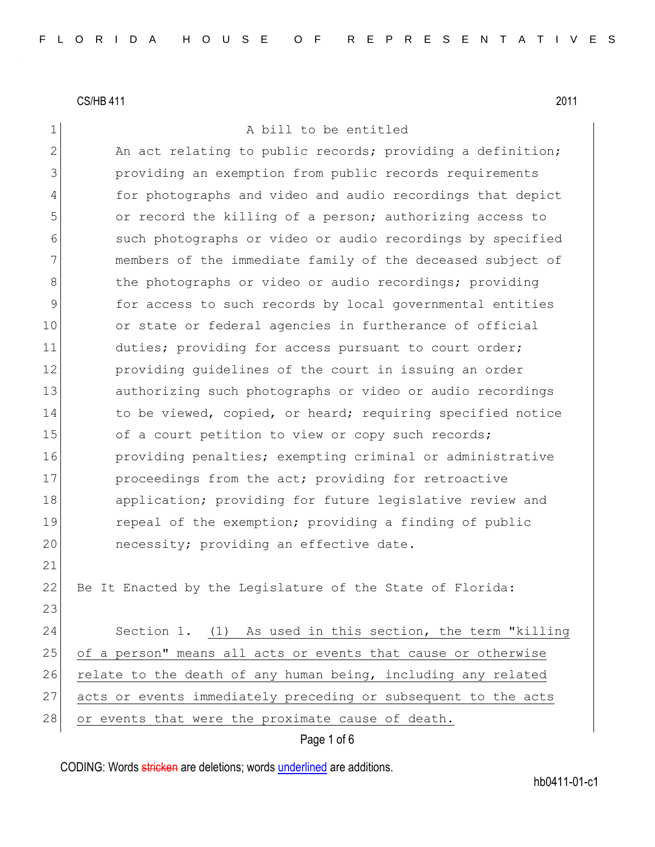1 A bill to be entitled

2 An act relating to public records; providing a definition; 3 providing an exemption from public records requirements 4 for photographs and video and audio recordings that depict 5 or record the killing of a person; authorizing access to 6 such photographs or video or audio recordings by specified 7 members of the immediate family of the deceased subject of 8 8 blue photographs or video or audio recordings; providing 9 for access to such records by local governmental entities 10 or state or federal agencies in furtherance of official 11 duties; providing for access pursuant to court order; 12 **providing quidelines of the court in issuing an order** 13 authorizing such photographs or video or audio recordings 14 to be viewed, copied, or heard; requiring specified notice 15 of a court petition to view or copy such records; 16 **providing penalties;** exempting criminal or administrative 17 proceedings from the act; providing for retroactive 18 application; providing for future legislative review and 19 repeal of the exemption; providing a finding of public 20 necessity; providing an effective date. 21 22 Be It Enacted by the Legislature of the State of Florida: 23 24 Section 1. (1) As used in this section, the term "killing 25 of a person" means all acts or events that cause or otherwise 26 relate to the death of any human being, including any related 27 acts or events immediately preceding or subsequent to the acts

28 or events that were the proximate cause of death.

Page 1 of 6

CODING: Words stricken are deletions; words underlined are additions.

hb0411-01-c1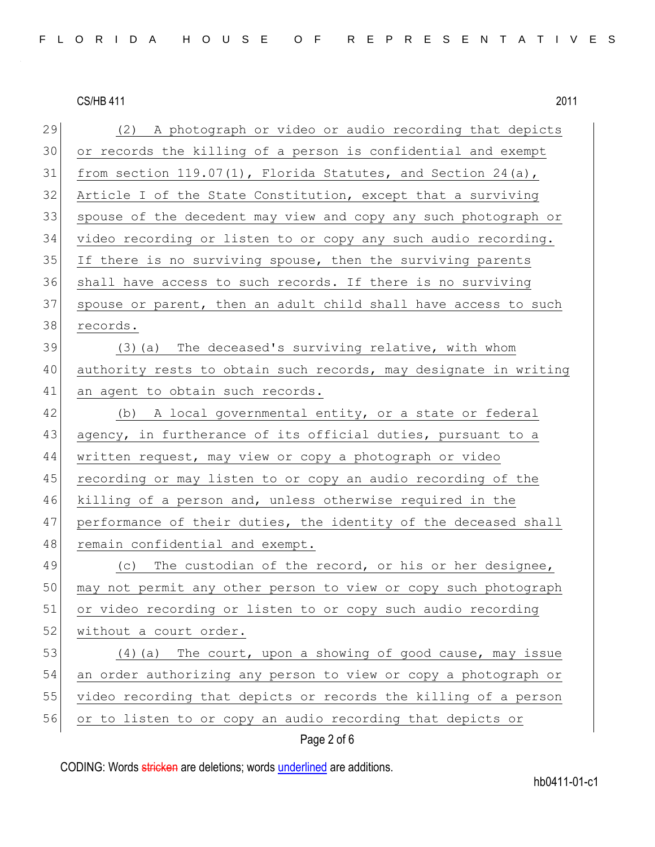| 29 | (2) A photograph or video or audio recording that depicts        |
|----|------------------------------------------------------------------|
| 30 | or records the killing of a person is confidential and exempt    |
| 31 | from section $119.07(1)$ , Florida Statutes, and Section 24(a),  |
| 32 | Article I of the State Constitution, except that a surviving     |
| 33 | spouse of the decedent may view and copy any such photograph or  |
| 34 | video recording or listen to or copy any such audio recording.   |
| 35 | If there is no surviving spouse, then the surviving parents      |
| 36 | shall have access to such records. If there is no surviving      |
| 37 | spouse or parent, then an adult child shall have access to such  |
| 38 | records.                                                         |
| 39 | (3) (a) The deceased's surviving relative, with whom             |
| 40 | authority rests to obtain such records, may designate in writing |
| 41 | an agent to obtain such records.                                 |
| 42 | (b) A local governmental entity, or a state or federal           |
| 43 | agency, in furtherance of its official duties, pursuant to a     |
| 44 | written request, may view or copy a photograph or video          |
| 45 | recording or may listen to or copy an audio recording of the     |
| 46 | killing of a person and, unless otherwise required in the        |
| 47 | performance of their duties, the identity of the deceased shall  |
| 48 | remain confidential and exempt.                                  |
| 49 | (c) The custodian of the record, or his or her designee,         |
| 50 | may not permit any other person to view or copy such photograph  |
| 51 | or video recording or listen to or copy such audio recording     |
| 52 | without a court order.                                           |
| 53 | (4) (a) The court, upon a showing of good cause, may issue       |
| 54 | an order authorizing any person to view or copy a photograph or  |
| 55 | video recording that depicts or records the killing of a person  |
| 56 | or to listen to or copy an audio recording that depicts or       |

## Page 2 of 6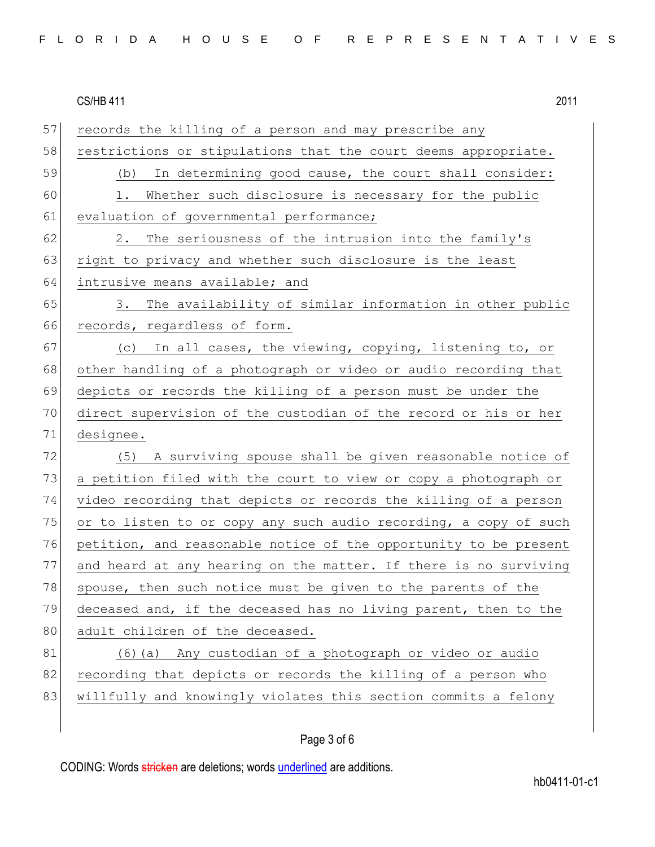57 records the killing of a person and may prescribe any 58 restrictions or stipulations that the court deems appropriate. 59 (b) In determining good cause, the court shall consider: 60 1. Whether such disclosure is necessary for the public 61 evaluation of governmental performance; 62 2. The seriousness of the intrusion into the family's 63 right to privacy and whether such disclosure is the least 64 intrusive means available; and 65 3. The availability of similar information in other public 66 records, regardless of form. 67  $\vert$  (c) In all cases, the viewing, copying, listening to, or 68 other handling of a photograph or video or audio recording that 69 depicts or records the killing of a person must be under the 70 direct supervision of the custodian of the record or his or her 71 designee. 72 (5) A surviving spouse shall be given reasonable notice of 73 a petition filed with the court to view or copy a photograph or 74 video recording that depicts or records the killing of a person 75 or to listen to or copy any such audio recording, a copy of such 76 petition, and reasonable notice of the opportunity to be present 77 and heard at any hearing on the matter. If there is no surviving 78 spouse, then such notice must be given to the parents of the 79 deceased and, if the deceased has no living parent, then to the 80 adult children of the deceased. 81 (6)(a) Any custodian of a photograph or video or audio 82 recording that depicts or records the killing of a person who 83 willfully and knowingly violates this section commits a felony

## Page 3 of 6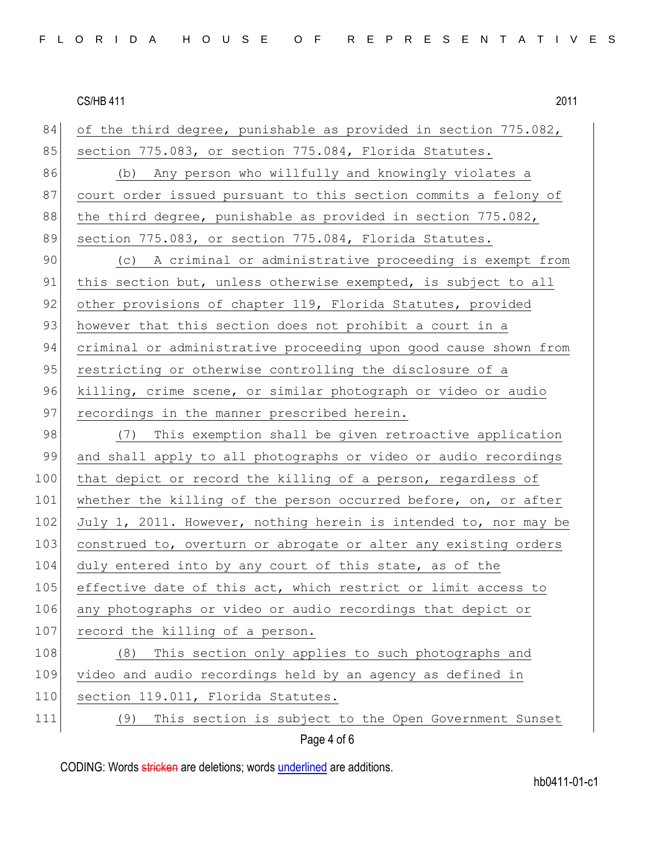| 84  | of the third degree, punishable as provided in section 775.082,  |
|-----|------------------------------------------------------------------|
| 85  | section 775.083, or section 775.084, Florida Statutes.           |
| 86  | (b) Any person who willfully and knowingly violates a            |
| 87  | court order issued pursuant to this section commits a felony of  |
| 88  | the third degree, punishable as provided in section 775.082,     |
| 89  | section 775.083, or section 775.084, Florida Statutes.           |
| 90  | (c) A criminal or administrative proceeding is exempt from       |
| 91  | this section but, unless otherwise exempted, is subject to all   |
| 92  | other provisions of chapter 119, Florida Statutes, provided      |
| 93  | however that this section does not prohibit a court in a         |
| 94  | criminal or administrative proceeding upon good cause shown from |
| 95  | restricting or otherwise controlling the disclosure of a         |
| 96  | killing, crime scene, or similar photograph or video or audio    |
| 97  | recordings in the manner prescribed herein.                      |
| 98  | (7) This exemption shall be given retroactive application        |
| 99  | and shall apply to all photographs or video or audio recordings  |
| 100 | that depict or record the killing of a person, regardless of     |
| 101 | whether the killing of the person occurred before, on, or after  |
| 102 | July 1, 2011. However, nothing herein is intended to, nor may be |
| 103 | construed to, overturn or abrogate or alter any existing orders  |
| 104 | duly entered into by any court of this state, as of the          |
| 105 | effective date of this act, which restrict or limit access to    |
| 106 | any photographs or video or audio recordings that depict or      |
| 107 | record the killing of a person.                                  |
| 108 | This section only applies to such photographs and<br>(8)         |
| 109 | video and audio recordings held by an agency as defined in       |
| 110 | section 119.011, Florida Statutes.                               |
| 111 | This section is subject to the Open Government Sunset<br>(9)     |
|     | Page 4 of 6                                                      |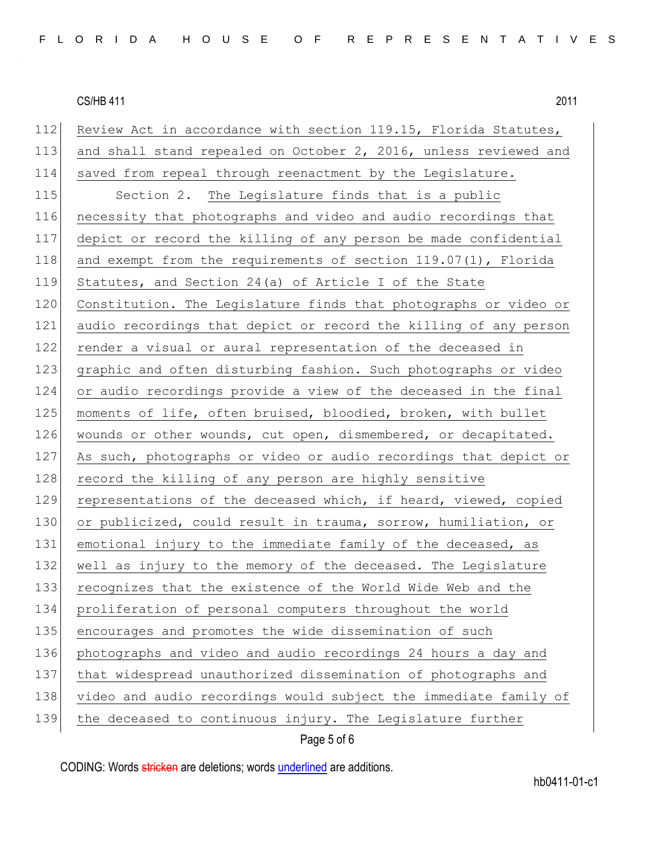112 Review Act in accordance with section 119.15, Florida Statutes, 113 and shall stand repealed on October 2, 2016, unless reviewed and 114 saved from repeal through reenactment by the Legislature. 115 Section 2. The Legislature finds that is a public 116 necessity that photographs and video and audio recordings that 117 depict or record the killing of any person be made confidential 118 and exempt from the requirements of section 119.07(1), Florida 119 Statutes, and Section 24(a) of Article I of the State 120 Constitution. The Legislature finds that photographs or video or 121 audio recordings that depict or record the killing of any person 122 render a visual or aural representation of the deceased in 123 graphic and often disturbing fashion. Such photographs or video 124 or audio recordings provide a view of the deceased in the final 125 moments of life, often bruised, bloodied, broken, with bullet 126 wounds or other wounds, cut open, dismembered, or decapitated. 127 As such, photographs or video or audio recordings that depict or 128 record the killing of any person are highly sensitive 129 representations of the deceased which, if heard, viewed, copied 130 or publicized, could result in trauma, sorrow, humiliation, or 131 emotional injury to the immediate family of the deceased, as 132 well as injury to the memory of the deceased. The Legislature 133 recognizes that the existence of the World Wide Web and the 134 proliferation of personal computers throughout the world 135 encourages and promotes the wide dissemination of such 136 photographs and video and audio recordings 24 hours a day and 137 that widespread unauthorized dissemination of photographs and 138 video and audio recordings would subject the immediate family of 139 the deceased to continuous injury. The Legislature further

Page 5 of 6